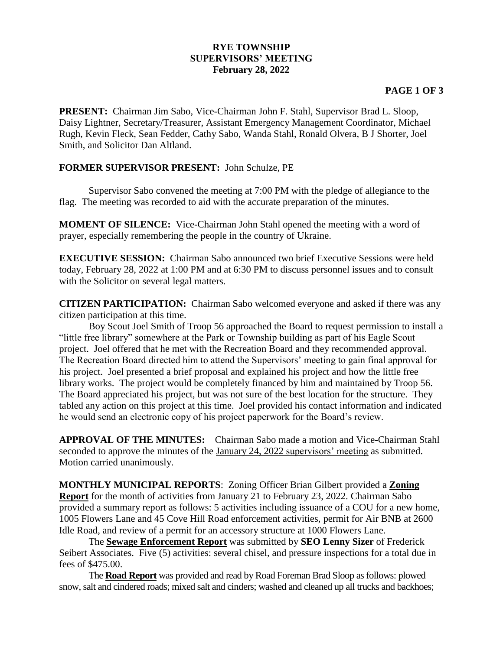## **RYE TOWNSHIP SUPERVISORS' MEETING February 28, 2022**

## **PAGE 1 OF 3**

**PRESENT:** Chairman Jim Sabo, Vice-Chairman John F. Stahl, Supervisor Brad L. Sloop, Daisy Lightner, Secretary/Treasurer, Assistant Emergency Management Coordinator, Michael Rugh, Kevin Fleck, Sean Fedder, Cathy Sabo, Wanda Stahl, Ronald Olvera, B J Shorter, Joel Smith, and Solicitor Dan Altland.

## **FORMER SUPERVISOR PRESENT:** John Schulze, PE

Supervisor Sabo convened the meeting at 7:00 PM with the pledge of allegiance to the flag. The meeting was recorded to aid with the accurate preparation of the minutes.

**MOMENT OF SILENCE:** Vice-Chairman John Stahl opened the meeting with a word of prayer, especially remembering the people in the country of Ukraine.

**EXECUTIVE SESSION:** Chairman Sabo announced two brief Executive Sessions were held today, February 28, 2022 at 1:00 PM and at 6:30 PM to discuss personnel issues and to consult with the Solicitor on several legal matters.

**CITIZEN PARTICIPATION:** Chairman Sabo welcomed everyone and asked if there was any citizen participation at this time.

Boy Scout Joel Smith of Troop 56 approached the Board to request permission to install a "little free library" somewhere at the Park or Township building as part of his Eagle Scout project. Joel offered that he met with the Recreation Board and they recommended approval. The Recreation Board directed him to attend the Supervisors' meeting to gain final approval for his project. Joel presented a brief proposal and explained his project and how the little free library works. The project would be completely financed by him and maintained by Troop 56. The Board appreciated his project, but was not sure of the best location for the structure. They tabled any action on this project at this time. Joel provided his contact information and indicated he would send an electronic copy of his project paperwork for the Board's review.

**APPROVAL OF THE MINUTES:** Chairman Sabo made a motion and Vice-Chairman Stahl seconded to approve the minutes of the January 24, 2022 supervisors' meeting as submitted. Motion carried unanimously.

**MONTHLY MUNICIPAL REPORTS**: Zoning Officer Brian Gilbert provided a **Zoning Report** for the month of activities from January 21 to February 23, 2022. Chairman Sabo provided a summary report as follows: 5 activities including issuance of a COU for a new home, 1005 Flowers Lane and 45 Cove Hill Road enforcement activities, permit for Air BNB at 2600 Idle Road, and review of a permit for an accessory structure at 1000 Flowers Lane.

The **Sewage Enforcement Report** was submitted by **SEO Lenny Sizer** of Frederick Seibert Associates. Five (5) activities: several chisel, and pressure inspections for a total due in fees of \$475.00.

The **Road Report** was provided and read by Road Foreman Brad Sloop as follows: plowed snow, salt and cindered roads; mixed salt and cinders; washed and cleaned up all trucks and backhoes;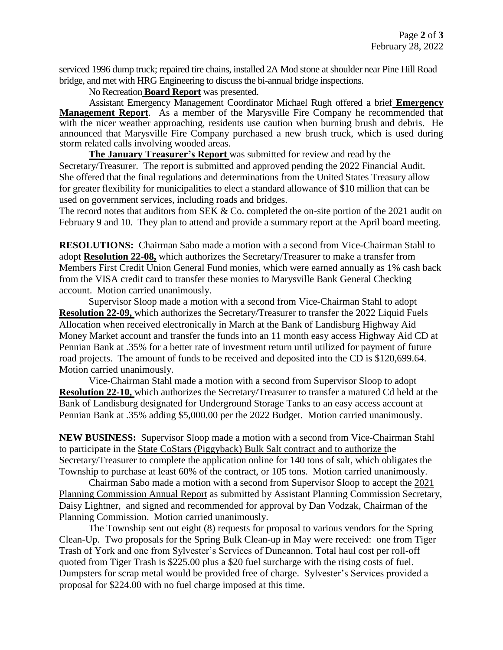serviced 1996 dump truck; repaired tire chains, installed 2A Mod stone at shoulder near Pine Hill Road bridge, and met with HRG Engineering to discuss the bi-annual bridge inspections.

No Recreation **Board Report** was presented.

Assistant Emergency Management Coordinator Michael Rugh offered a brief **Emergency Management Report**. As a member of the Marysville Fire Company he recommended that with the nicer weather approaching, residents use caution when burning brush and debris. He announced that Marysville Fire Company purchased a new brush truck, which is used during storm related calls involving wooded areas.

**The January Treasurer's Report** was submitted for review and read by the Secretary/Treasurer. The report is submitted and approved pending the 2022 Financial Audit. She offered that the final regulations and determinations from the United States Treasury allow for greater flexibility for municipalities to elect a standard allowance of \$10 million that can be used on government services, including roads and bridges.

The record notes that auditors from SEK & Co. completed the on-site portion of the 2021 audit on February 9 and 10. They plan to attend and provide a summary report at the April board meeting.

**RESOLUTIONS:** Chairman Sabo made a motion with a second from Vice-Chairman Stahl to adopt **Resolution 22-08,** which authorizes the Secretary/Treasurer to make a transfer from Members First Credit Union General Fund monies, which were earned annually as 1% cash back from the VISA credit card to transfer these monies to Marysville Bank General Checking account. Motion carried unanimously.

Supervisor Sloop made a motion with a second from Vice-Chairman Stahl to adopt **Resolution 22-09,** which authorizes the Secretary/Treasurer to transfer the 2022 Liquid Fuels Allocation when received electronically in March at the Bank of Landisburg Highway Aid Money Market account and transfer the funds into an 11 month easy access Highway Aid CD at Pennian Bank at .35% for a better rate of investment return until utilized for payment of future road projects. The amount of funds to be received and deposited into the CD is \$120,699.64. Motion carried unanimously.

Vice-Chairman Stahl made a motion with a second from Supervisor Sloop to adopt **Resolution 22-10,** which authorizes the Secretary/Treasurer to transfer a matured Cd held at the Bank of Landisburg designated for Underground Storage Tanks to an easy access account at Pennian Bank at .35% adding \$5,000.00 per the 2022 Budget. Motion carried unanimously.

**NEW BUSINESS:** Supervisor Sloop made a motion with a second from Vice-Chairman Stahl to participate in the State CoStars (Piggyback) Bulk Salt contract and to authorize the Secretary/Treasurer to complete the application online for 140 tons of salt, which obligates the Township to purchase at least 60% of the contract, or 105 tons. Motion carried unanimously.

Chairman Sabo made a motion with a second from Supervisor Sloop to accept the 2021 Planning Commission Annual Report as submitted by Assistant Planning Commission Secretary, Daisy Lightner, and signed and recommended for approval by Dan Vodzak, Chairman of the Planning Commission. Motion carried unanimously.

The Township sent out eight (8) requests for proposal to various vendors for the Spring Clean-Up. Two proposals for the Spring Bulk Clean-up in May were received: one from Tiger Trash of York and one from Sylvester's Services of Duncannon. Total haul cost per roll-off quoted from Tiger Trash is \$225.00 plus a \$20 fuel surcharge with the rising costs of fuel. Dumpsters for scrap metal would be provided free of charge. Sylvester's Services provided a proposal for \$224.00 with no fuel charge imposed at this time.